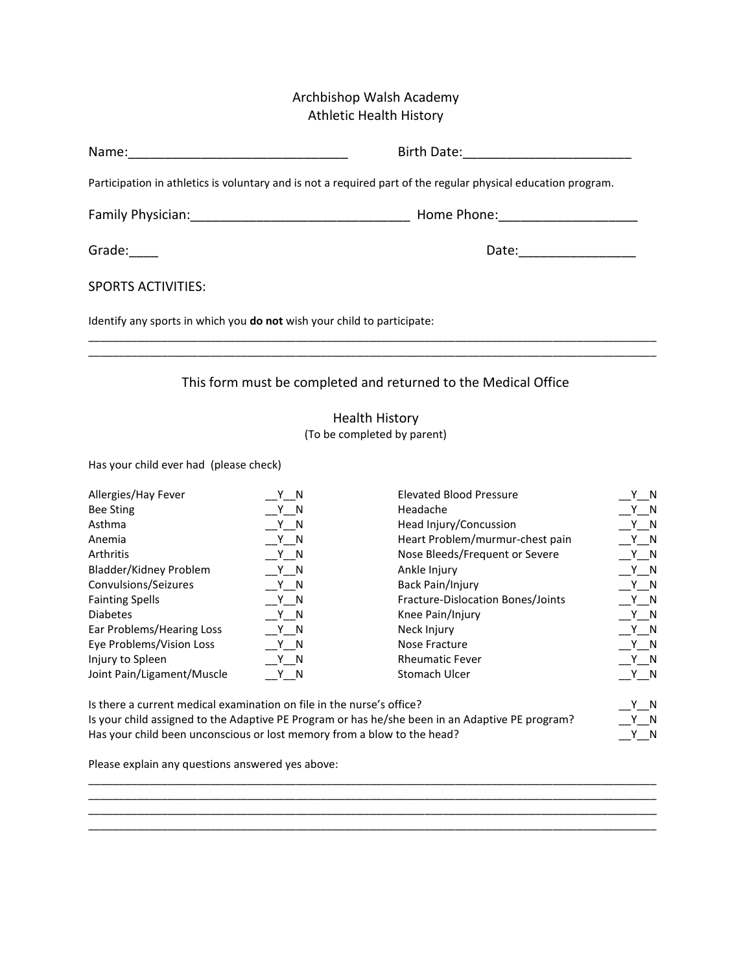## Archbishop Walsh Academy Athletic Health History

|                                                                         | Participation in athletics is voluntary and is not a required part of the regular physical education program. |
|-------------------------------------------------------------------------|---------------------------------------------------------------------------------------------------------------|
|                                                                         |                                                                                                               |
| Grade:                                                                  | Date: ____________________                                                                                    |
| <b>SPORTS ACTIVITIES:</b>                                               |                                                                                                               |
| Identify any sports in which you do not wish your child to participate: |                                                                                                               |
|                                                                         |                                                                                                               |
| This form must be completed and returned to the Medical Office          |                                                                                                               |
|                                                                         | <b>Health History</b><br>(To be completed by parent)                                                          |
| Has your child ever had (please check)                                  |                                                                                                               |

Allergies/Hay Fever \_\_Y\_\_N Elevated Blood Pressure \_\_Y\_\_N Bee Sting \_\_Y\_\_N Headache \_\_Y\_\_N Asthma \_\_Y\_\_N Head Injury/Concussion \_\_Y\_\_N Anemia \_\_Y\_\_N Heart Problem/murmur-chest pain \_\_Y\_\_N Arthritis \_\_Y\_\_N Nose Bleeds/Frequent or Severe \_\_Y\_\_N Bladder/Kidney Problem \_\_Y\_\_N Ankle Injury \_\_Y\_\_N Convulsions/Seizures \_\_Y\_\_N Back Pain/Injury \_\_Y\_\_N Fainting Spells \_\_Y\_\_N Fracture-Dislocation Bones/Joints \_\_Y\_\_N Diabetes \_\_Y\_\_N Knee Pain/Injury \_\_Y\_\_N Ear Problems/Hearing Loss \_\_Y\_\_N Neck Injury \_\_Y\_\_N Eye Problems/Vision Loss \_\_Y\_\_N Nose Fracture \_\_Y\_\_N Injury to Spleen \_\_Y\_\_N Rheumatic Fever \_\_Y\_\_N Joint Pain/Ligament/Muscle \_\_Y\_\_N Stomach Ulcer \_\_Y\_\_N

| Is there a current medical examination on file in the nurse's office?                           |     |
|-------------------------------------------------------------------------------------------------|-----|
| Is your child assigned to the Adaptive PE Program or has he/she been in an Adaptive PE program? | Y N |
| Has your child been unconscious or lost memory from a blow to the head?                         | Y N |

\_\_\_\_\_\_\_\_\_\_\_\_\_\_\_\_\_\_\_\_\_\_\_\_\_\_\_\_\_\_\_\_\_\_\_\_\_\_\_\_\_\_\_\_\_\_\_\_\_\_\_\_\_\_\_\_\_\_\_\_\_\_\_\_\_\_\_\_\_\_\_\_\_\_\_\_\_\_\_\_\_\_\_\_\_\_\_\_\_\_\_\_\_ \_\_\_\_\_\_\_\_\_\_\_\_\_\_\_\_\_\_\_\_\_\_\_\_\_\_\_\_\_\_\_\_\_\_\_\_\_\_\_\_\_\_\_\_\_\_\_\_\_\_\_\_\_\_\_\_\_\_\_\_\_\_\_\_\_\_\_\_\_\_\_\_\_\_\_\_\_\_\_\_\_\_\_\_\_\_\_\_\_\_\_\_\_ \_\_\_\_\_\_\_\_\_\_\_\_\_\_\_\_\_\_\_\_\_\_\_\_\_\_\_\_\_\_\_\_\_\_\_\_\_\_\_\_\_\_\_\_\_\_\_\_\_\_\_\_\_\_\_\_\_\_\_\_\_\_\_\_\_\_\_\_\_\_\_\_\_\_\_\_\_\_\_\_\_\_\_\_\_\_\_\_\_\_\_\_\_ \_\_\_\_\_\_\_\_\_\_\_\_\_\_\_\_\_\_\_\_\_\_\_\_\_\_\_\_\_\_\_\_\_\_\_\_\_\_\_\_\_\_\_\_\_\_\_\_\_\_\_\_\_\_\_\_\_\_\_\_\_\_\_\_\_\_\_\_\_\_\_\_\_\_\_\_\_\_\_\_\_\_\_\_\_\_\_\_\_\_\_\_\_

Please explain any questions answered yes above: